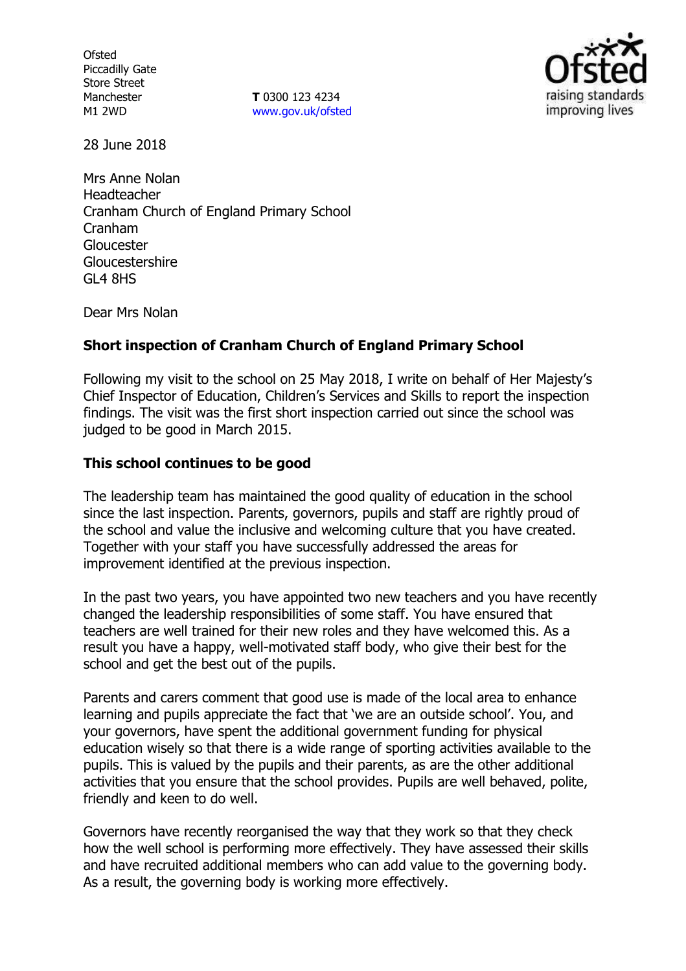**Ofsted** Piccadilly Gate Store Street Manchester M1 2WD

**T** 0300 123 4234 [www.gov.uk/ofsted](http://www.gov.uk/ofsted)



28 June 2018

Mrs Anne Nolan Headteacher Cranham Church of England Primary School Cranham Gloucester Gloucestershire GL4 8HS

Dear Mrs Nolan

## **Short inspection of Cranham Church of England Primary School**

Following my visit to the school on 25 May 2018, I write on behalf of Her Majesty's Chief Inspector of Education, Children's Services and Skills to report the inspection findings. The visit was the first short inspection carried out since the school was judged to be good in March 2015.

#### **This school continues to be good**

The leadership team has maintained the good quality of education in the school since the last inspection. Parents, governors, pupils and staff are rightly proud of the school and value the inclusive and welcoming culture that you have created. Together with your staff you have successfully addressed the areas for improvement identified at the previous inspection.

In the past two years, you have appointed two new teachers and you have recently changed the leadership responsibilities of some staff. You have ensured that teachers are well trained for their new roles and they have welcomed this. As a result you have a happy, well-motivated staff body, who give their best for the school and get the best out of the pupils.

Parents and carers comment that good use is made of the local area to enhance learning and pupils appreciate the fact that 'we are an outside school'. You, and your governors, have spent the additional government funding for physical education wisely so that there is a wide range of sporting activities available to the pupils. This is valued by the pupils and their parents, as are the other additional activities that you ensure that the school provides. Pupils are well behaved, polite, friendly and keen to do well.

Governors have recently reorganised the way that they work so that they check how the well school is performing more effectively. They have assessed their skills and have recruited additional members who can add value to the governing body. As a result, the governing body is working more effectively.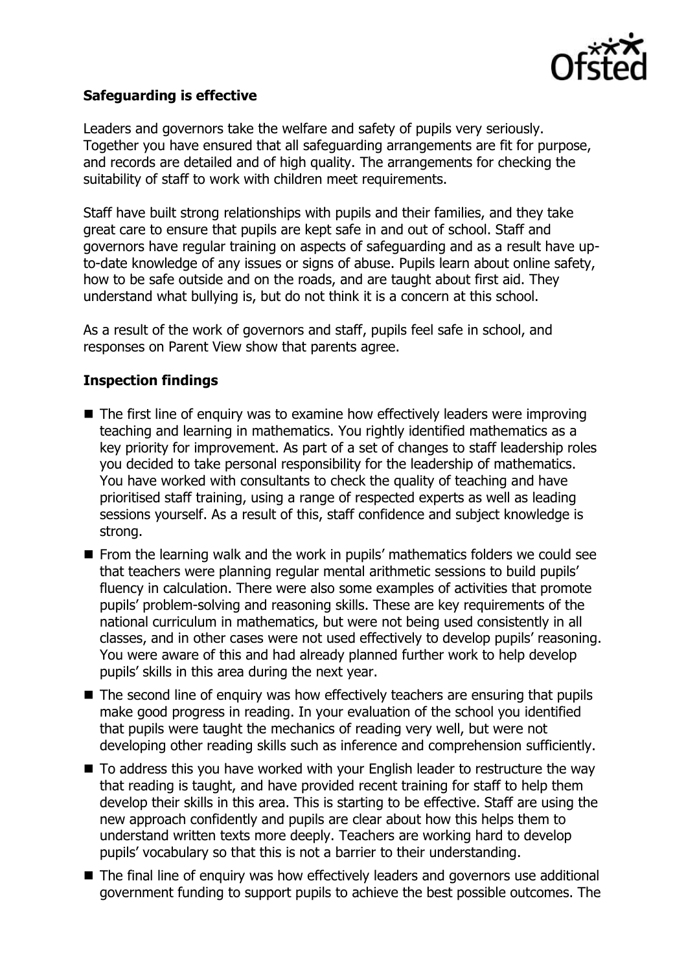

## **Safeguarding is effective**

Leaders and governors take the welfare and safety of pupils very seriously. Together you have ensured that all safeguarding arrangements are fit for purpose, and records are detailed and of high quality. The arrangements for checking the suitability of staff to work with children meet requirements.

Staff have built strong relationships with pupils and their families, and they take great care to ensure that pupils are kept safe in and out of school. Staff and governors have regular training on aspects of safeguarding and as a result have upto-date knowledge of any issues or signs of abuse. Pupils learn about online safety, how to be safe outside and on the roads, and are taught about first aid. They understand what bullying is, but do not think it is a concern at this school.

As a result of the work of governors and staff, pupils feel safe in school, and responses on Parent View show that parents agree.

#### **Inspection findings**

- $\blacksquare$  The first line of enguiry was to examine how effectively leaders were improving teaching and learning in mathematics. You rightly identified mathematics as a key priority for improvement. As part of a set of changes to staff leadership roles you decided to take personal responsibility for the leadership of mathematics. You have worked with consultants to check the quality of teaching and have prioritised staff training, using a range of respected experts as well as leading sessions yourself. As a result of this, staff confidence and subject knowledge is strong.
- **From the learning walk and the work in pupils' mathematics folders we could see** that teachers were planning regular mental arithmetic sessions to build pupils' fluency in calculation. There were also some examples of activities that promote pupils' problem-solving and reasoning skills. These are key requirements of the national curriculum in mathematics, but were not being used consistently in all classes, and in other cases were not used effectively to develop pupils' reasoning. You were aware of this and had already planned further work to help develop pupils' skills in this area during the next year.
- The second line of enguiry was how effectively teachers are ensuring that pupils make good progress in reading. In your evaluation of the school you identified that pupils were taught the mechanics of reading very well, but were not developing other reading skills such as inference and comprehension sufficiently.
- To address this you have worked with your English leader to restructure the way that reading is taught, and have provided recent training for staff to help them develop their skills in this area. This is starting to be effective. Staff are using the new approach confidently and pupils are clear about how this helps them to understand written texts more deeply. Teachers are working hard to develop pupils' vocabulary so that this is not a barrier to their understanding.
- The final line of enquiry was how effectively leaders and governors use additional government funding to support pupils to achieve the best possible outcomes. The